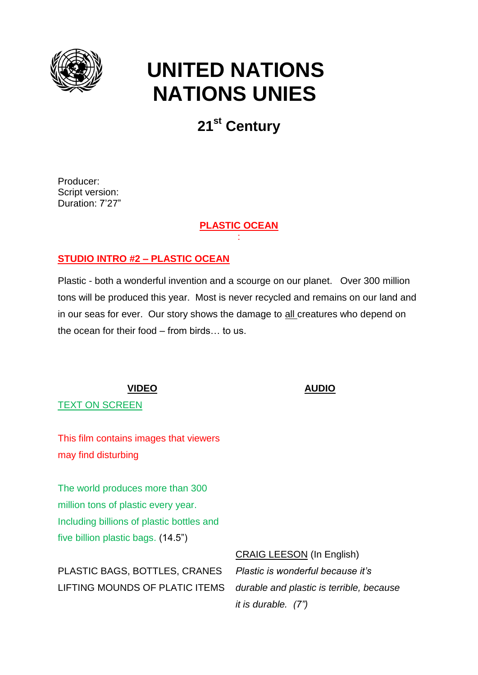

# **UNITED NATIONS NATIONS UNIES**

## **21st Century**

Producer: Script version: Duration: 7'27"

> **PLASTIC OCEAN** :

### **STUDIO INTRO #2 – PLASTIC OCEAN**

Plastic - both a wonderful invention and a scourge on our planet. Over 300 million tons will be produced this year. Most is never recycled and remains on our land and in our seas for ever. Our story shows the damage to all creatures who depend on the ocean for their food – from birds… to us.

TEXT ON SCREEN

This film contains images that viewers may find disturbing

The world produces more than 300 million tons of plastic every year. Including billions of plastic bottles and five billion plastic bags. (14.5")

PLASTIC BAGS, BOTTLES, CRANES LIFTING MOUNDS OF PLATIC ITEMS CRAIG LEESON (In English) *Plastic is wonderful because it's durable and plastic is terrible, because it is durable. (7")*

### **VIDEO AUDIO**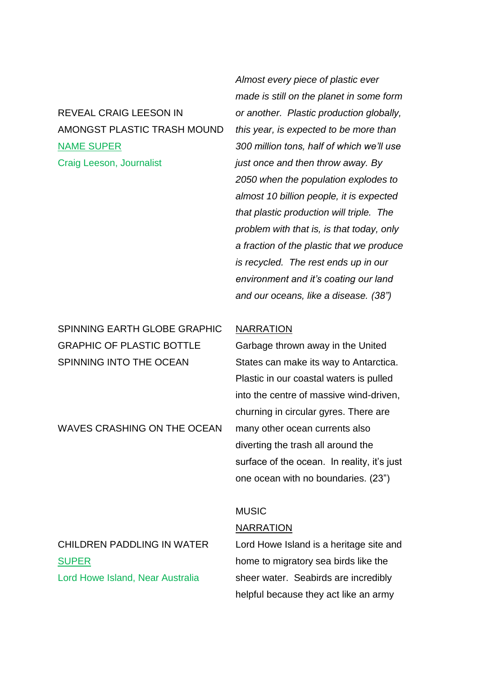### REVEAL CRAIG LEESON IN AMONGST PLASTIC TRASH MOUND NAME SUPER Craig Leeson, Journalist

SPINNING EARTH GLOBE GRAPHIC GRAPHIC OF PLASTIC BOTTLE SPINNING INTO THE OCEAN

WAVES CRASHING ON THE OCEAN

*Almost every piece of plastic ever made is still on the planet in some form or another. Plastic production globally, this year, is expected to be more than 300 million tons, half of which we'll use just once and then throw away. By 2050 when the population explodes to almost 10 billion people, it is expected that plastic production will triple. The problem with that is, is that today, only a fraction of the plastic that we produce is recycled. The rest ends up in our environment and it's coating our land and our oceans, like a disease. (38")*

### **NARRATION**

Garbage thrown away in the United States can make its way to Antarctica. Plastic in our coastal waters is pulled into the centre of massive wind-driven, churning in circular gyres. There are many other ocean currents also diverting the trash all around the surface of the ocean. In reality, it's just one ocean with no boundaries. (23")

### MUSIC

#### NARRATION

CHILDREN PADDLING IN WATER **SUPER** Lord Howe Island, Near Australia

Lord Howe Island is a heritage site and home to migratory sea birds like the sheer water. Seabirds are incredibly helpful because they act like an army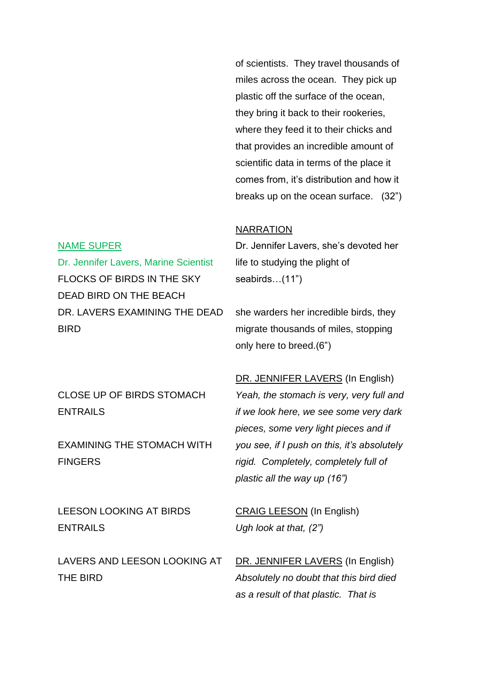of scientists. They travel thousands of miles across the ocean. They pick up plastic off the surface of the ocean, they bring it back to their rookeries, where they feed it to their chicks and that provides an incredible amount of scientific data in terms of the place it comes from, it's distribution and how it breaks up on the ocean surface. (32")

### NARRATION

### Dr. Jennifer Lavers, she's devoted her life to studying the plight of seabirds…(11")

she warders her incredible birds, they migrate thousands of miles, stopping only here to breed.(6")

CLOSE UP OF BIRDS STOMACH ENTRAILS

Dr. Jennifer Lavers, Marine Scientist

DR. LAVERS EXAMINING THE DEAD

FLOCKS OF BIRDS IN THE SKY

DEAD BIRD ON THE BEACH

NAME SUPER

**BIRD** 

EXAMINING THE STOMACH WITH FINGERS

LEESON LOOKING AT BIRDS ENTRAILS

LAVERS AND LEESON LOOKING AT THE BIRD

DR. JENNIFER LAVERS (In English) *Yeah, the stomach is very, very full and if we look here, we see some very dark pieces, some very light pieces and if you see, if I push on this, it's absolutely rigid. Completely, completely full of plastic all the way up (16")*

CRAIG LEESON (In English) *Ugh look at that, (2")*

DR. JENNIFER LAVERS (In English) *Absolutely no doubt that this bird died as a result of that plastic. That is*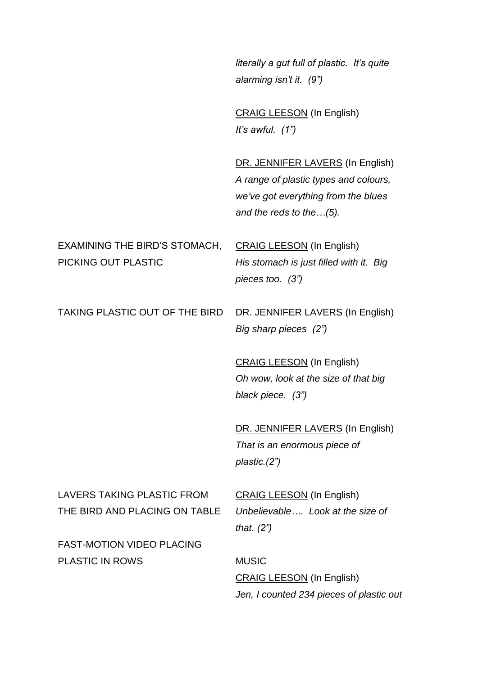*literally a gut full of plastic. It's quite alarming isn't it. (9")*

CRAIG LEESON (In English) *It's awful. (1")*

DR. JENNIFER LAVERS (In English) *A range of plastic types and colours, we've got everything from the blues and the reds to the…(5).*

EXAMINING THE BIRD'S STOMACH, PICKING OUT PLASTIC

CRAIG LEESON (In English) *His stomach is just filled with it. Big pieces too. (3")*

TAKING PLASTIC OUT OF THE BIRD DR. JENNIFER LAVERS (In English)

*Big sharp pieces (2")*

CRAIG LEESON (In English) *Oh wow, look at the size of that big black piece. (3")*

DR. JENNIFER LAVERS (In English) *That is an enormous piece of plastic.(2")*

LAVERS TAKING PLASTIC FROM THE BIRD AND PLACING ON TABLE CRAIG LEESON (In English) *Unbelievable…. Look at the size of that. (2")*

FAST-MOTION VIDEO PLACING PLASTIC IN ROWS

MUSIC CRAIG LEESON (In English) *Jen, I counted 234 pieces of plastic out*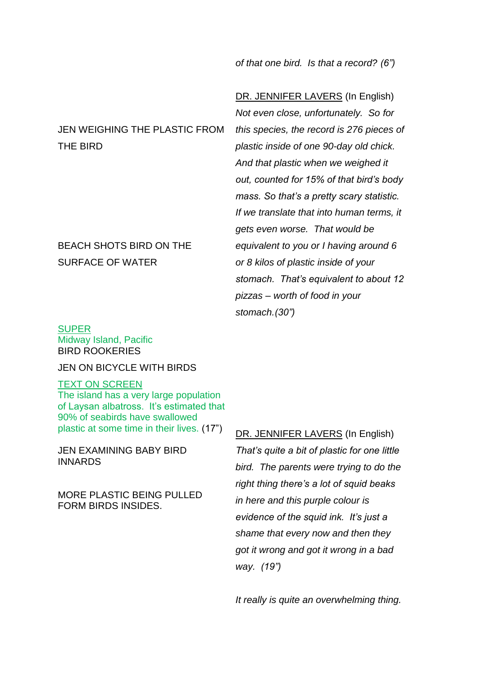*of that one bird. Is that a record? (6")*

JEN WEIGHING THE PLASTIC FROM THE BIRD

### BEACH SHOTS BIRD ON THE SURFACE OF WATER

**SUPER** Midway Island, Pacific BIRD ROOKERIES

### JEN ON BICYCLE WITH BIRDS

### TEXT ON SCREEN

The island has a very large population of Laysan albatross. It's estimated that 90% of seabirds have swallowed plastic at some time in their lives. (17")

JEN EXAMINING BABY BIRD INNARDS

MORE PLASTIC BEING PULLED FORM BIRDS INSIDES.

DR. JENNIFER LAVERS (In English) *Not even close, unfortunately. So for this species, the record is 276 pieces of plastic inside of one 90-day old chick. And that plastic when we weighed it out, counted for 15% of that bird's body mass. So that's a pretty scary statistic. If we translate that into human terms, it gets even worse. That would be equivalent to you or I having around 6 or 8 kilos of plastic inside of your stomach. That's equivalent to about 12 pizzas – worth of food in your stomach.(30")*

DR. JENNIFER LAVERS (In English) *That's quite a bit of plastic for one little bird. The parents were trying to do the right thing there's a lot of squid beaks in here and this purple colour is evidence of the squid ink. It's just a shame that every now and then they got it wrong and got it wrong in a bad way. (19")*

*It really is quite an overwhelming thing.*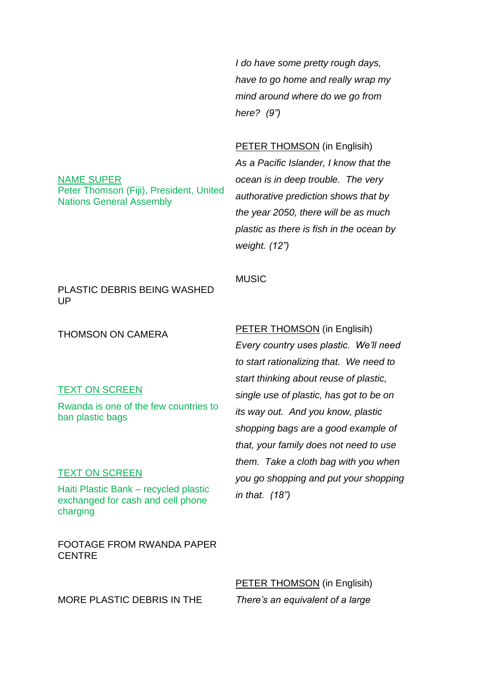*I do have some pretty rough days, have to go home and really wrap my mind around where do we go from here? (9")*

### PETER THOMSON (in Englisih)

*As a Pacific Islander, I know that the ocean is in deep trouble. The very authorative prediction shows that by the year 2050, there will be as much plastic as there is fish in the ocean by weight. (12")*

Nations General Assembly

Peter Thomson (Fiji), President, United

PLASTIC DEBRIS BEING WASHED UP

THOMSON ON CAMERA

#### TEXT ON SCREEN

NAME SUPER

Rwanda is one of the few countries to ban plastic bags

#### TEXT ON SCREEN

Haiti Plastic Bank – recycled plastic exchanged for cash and cell phone charging

FOOTAGE FROM RWANDA PAPER **CENTRE** 

MORE PLASTIC DEBRIS IN THE

### PETER THOMSON (in Englisih)

**MUSIC** 

*Every country uses plastic. We'll need to start rationalizing that. We need to start thinking about reuse of plastic, single use of plastic, has got to be on its way out. And you know, plastic shopping bags are a good example of that, your family does not need to use them. Take a cloth bag with you when you go shopping and put your shopping in that. (18")*

PETER THOMSON (in Englisih) *There's an equivalent of a large*